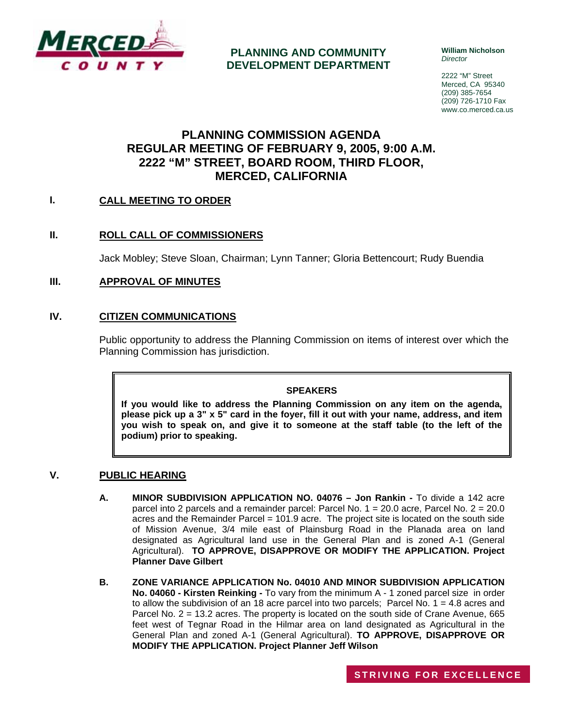

**PLANNING AND COMMUNITY DEVELOPMENT DEPARTMENT** **William Nicholson**  *Director* 

2222 "M" Street Merced, CA 95340 (209) 385-7654 (209) 726-1710 Fax www.co.merced.ca.us

# **PLANNING COMMISSION AGENDA REGULAR MEETING OF FEBRUARY 9, 2005, 9:00 A.M. 2222 "M" STREET, BOARD ROOM, THIRD FLOOR, MERCED, CALIFORNIA**

## **I. CALL MEETING TO ORDER**

## **II. ROLL CALL OF COMMISSIONERS**

Jack Mobley; Steve Sloan, Chairman; Lynn Tanner; Gloria Bettencourt; Rudy Buendia

## **III. APPROVAL OF MINUTES**

## **IV. CITIZEN COMMUNICATIONS**

Public opportunity to address the Planning Commission on items of interest over which the Planning Commission has jurisdiction.

#### **SPEAKERS**

**If you would like to address the Planning Commission on any item on the agenda, please pick up a 3" x 5" card in the foyer, fill it out with your name, address, and item you wish to speak on, and give it to someone at the staff table (to the left of the podium) prior to speaking.**

#### **V. PUBLIC HEARING**

- **A. MINOR SUBDIVISION APPLICATION NO. 04076 Jon Rankin** To divide a 142 acre parcel into 2 parcels and a remainder parcel: Parcel No. 1 = 20.0 acre, Parcel No. 2 = 20.0 acres and the Remainder Parcel  $= 101.9$  acre. The project site is located on the south side of Mission Avenue, 3/4 mile east of Plainsburg Road in the Planada area on land designated as Agricultural land use in the General Plan and is zoned A-1 (General Agricultural). **TO APPROVE, DISAPPROVE OR MODIFY THE APPLICATION. Project Planner Dave Gilbert**
- **B. ZONE VARIANCE APPLICATION No. 04010 AND MINOR SUBDIVISION APPLICATION No. 04060 - Kirsten Reinking -** To vary from the minimum A - 1 zoned parcel size in order to allow the subdivision of an 18 acre parcel into two parcels; Parcel No.  $1 = 4.8$  acres and Parcel No. 2 = 13.2 acres. The property is located on the south side of Crane Avenue, 665 feet west of Tegnar Road in the Hilmar area on land designated as Agricultural in the General Plan and zoned A-1 (General Agricultural). **TO APPROVE, DISAPPROVE OR MODIFY THE APPLICATION. Project Planner Jeff Wilson**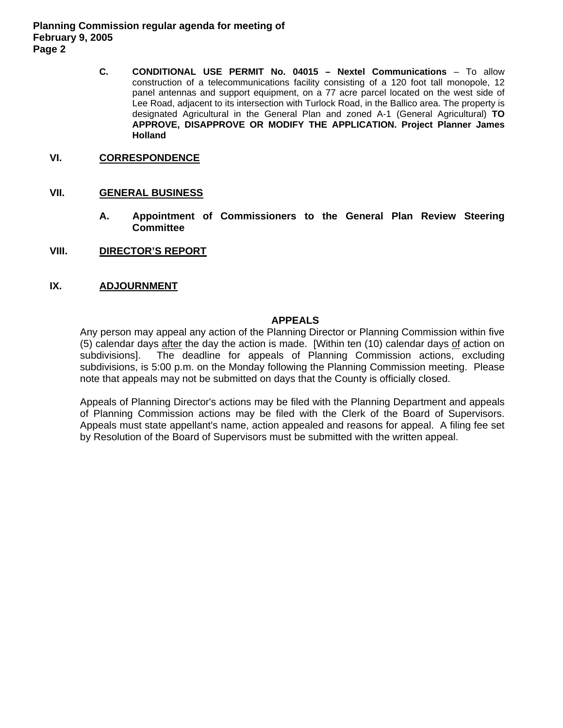**Planning Commission regular agenda for meeting of February 9, 2005 Page 2** 

> **C. CONDITIONAL USE PERMIT No. 04015 – Nextel Communications** – To allow construction of a telecommunications facility consisting of a 120 foot tall monopole, 12 panel antennas and support equipment, on a 77 acre parcel located on the west side of Lee Road, adjacent to its intersection with Turlock Road, in the Ballico area. The property is designated Agricultural in the General Plan and zoned A-1 (General Agricultural) **TO APPROVE, DISAPPROVE OR MODIFY THE APPLICATION. Project Planner James Holland**

## **VI. CORRESPONDENCE**

#### **VII. GENERAL BUSINESS**

- **A. Appointment of Commissioners to the General Plan Review Steering Committee**
- **VIII. DIRECTOR'S REPORT**

#### **IX. ADJOURNMENT**

#### **APPEALS**

Any person may appeal any action of the Planning Director or Planning Commission within five (5) calendar days after the day the action is made. [Within ten (10) calendar days of action on subdivisions]. The deadline for appeals of Planning Commission actions, excluding subdivisions, is 5:00 p.m. on the Monday following the Planning Commission meeting. Please note that appeals may not be submitted on days that the County is officially closed.

Appeals of Planning Director's actions may be filed with the Planning Department and appeals of Planning Commission actions may be filed with the Clerk of the Board of Supervisors. Appeals must state appellant's name, action appealed and reasons for appeal. A filing fee set by Resolution of the Board of Supervisors must be submitted with the written appeal.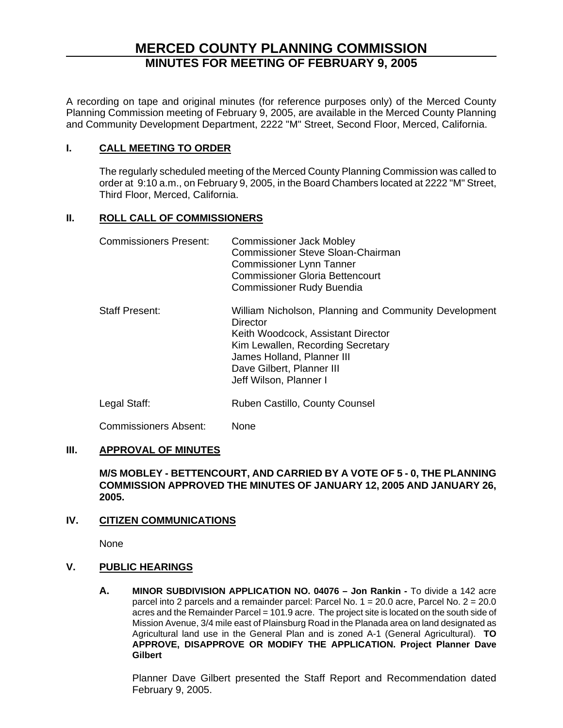# **MERCED COUNTY PLANNING COMMISSION MINUTES FOR MEETING OF FEBRUARY 9, 2005**

A recording on tape and original minutes (for reference purposes only) of the Merced County Planning Commission meeting of February 9, 2005, are available in the Merced County Planning and Community Development Department, 2222 "M" Street, Second Floor, Merced, California.

## **I. CALL MEETING TO ORDER**

The regularly scheduled meeting of the Merced County Planning Commission was called to order at 9:10 a.m., on February 9, 2005, in the Board Chambers located at 2222 "M" Street, Third Floor, Merced, California.

## **II. ROLL CALL OF COMMISSIONERS**

| <b>Commissioners Present:</b> | <b>Commissioner Jack Mobley</b><br>Commissioner Steve Sloan-Chairman<br><b>Commissioner Lynn Tanner</b><br><b>Commissioner Gloria Bettencourt</b><br><b>Commissioner Rudy Buendia</b>                                             |
|-------------------------------|-----------------------------------------------------------------------------------------------------------------------------------------------------------------------------------------------------------------------------------|
| <b>Staff Present:</b>         | William Nicholson, Planning and Community Development<br>Director<br>Keith Woodcock, Assistant Director<br>Kim Lewallen, Recording Secretary<br>James Holland, Planner III<br>Dave Gilbert, Planner III<br>Jeff Wilson, Planner I |
| Legal Staff:                  | Ruben Castillo, County Counsel                                                                                                                                                                                                    |

Commissioners Absent: None

## **III. APPROVAL OF MINUTES**

#### **M/S MOBLEY - BETTENCOURT, AND CARRIED BY A VOTE OF 5 - 0, THE PLANNING COMMISSION APPROVED THE MINUTES OF JANUARY 12, 2005 AND JANUARY 26, 2005.**

## **IV. CITIZEN COMMUNICATIONS**

None

## **V. PUBLIC HEARINGS**

**A. MINOR SUBDIVISION APPLICATION NO. 04076 – Jon Rankin -** To divide a 142 acre parcel into 2 parcels and a remainder parcel: Parcel No. 1 = 20.0 acre, Parcel No. 2 = 20.0 acres and the Remainder Parcel = 101.9 acre. The project site is located on the south side of Mission Avenue, 3/4 mile east of Plainsburg Road in the Planada area on land designated as Agricultural land use in the General Plan and is zoned A-1 (General Agricultural). **TO APPROVE, DISAPPROVE OR MODIFY THE APPLICATION. Project Planner Dave Gilbert**

Planner Dave Gilbert presented the Staff Report and Recommendation dated February 9, 2005.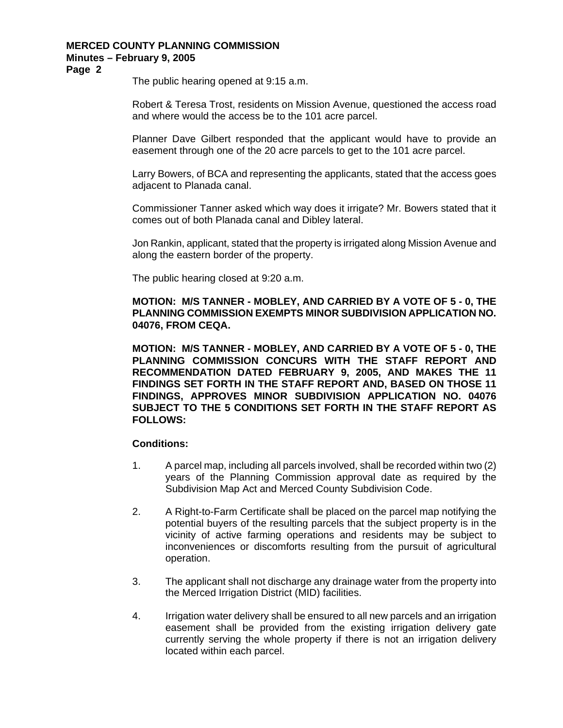## **MERCED COUNTY PLANNING COMMISSION Minutes – February 9, 2005**

**Page 2** 

The public hearing opened at 9:15 a.m.

Robert & Teresa Trost, residents on Mission Avenue, questioned the access road and where would the access be to the 101 acre parcel.

Planner Dave Gilbert responded that the applicant would have to provide an easement through one of the 20 acre parcels to get to the 101 acre parcel.

Larry Bowers, of BCA and representing the applicants, stated that the access goes adjacent to Planada canal.

Commissioner Tanner asked which way does it irrigate? Mr. Bowers stated that it comes out of both Planada canal and Dibley lateral.

Jon Rankin, applicant, stated that the property is irrigated along Mission Avenue and along the eastern border of the property.

The public hearing closed at 9:20 a.m.

**MOTION: M/S TANNER - MOBLEY, AND CARRIED BY A VOTE OF 5 - 0, THE PLANNING COMMISSION EXEMPTS MINOR SUBDIVISION APPLICATION NO. 04076, FROM CEQA.** 

**MOTION: M/S TANNER - MOBLEY, AND CARRIED BY A VOTE OF 5 - 0, THE PLANNING COMMISSION CONCURS WITH THE STAFF REPORT AND RECOMMENDATION DATED FEBRUARY 9, 2005, AND MAKES THE 11 FINDINGS SET FORTH IN THE STAFF REPORT AND, BASED ON THOSE 11 FINDINGS, APPROVES MINOR SUBDIVISION APPLICATION NO. 04076 SUBJECT TO THE 5 CONDITIONS SET FORTH IN THE STAFF REPORT AS FOLLOWS:** 

#### **Conditions:**

- 1. A parcel map, including all parcels involved, shall be recorded within two (2) years of the Planning Commission approval date as required by the Subdivision Map Act and Merced County Subdivision Code.
- 2. A Right-to-Farm Certificate shall be placed on the parcel map notifying the potential buyers of the resulting parcels that the subject property is in the vicinity of active farming operations and residents may be subject to inconveniences or discomforts resulting from the pursuit of agricultural operation.
- 3. The applicant shall not discharge any drainage water from the property into the Merced Irrigation District (MID) facilities.
- 4. Irrigation water delivery shall be ensured to all new parcels and an irrigation easement shall be provided from the existing irrigation delivery gate currently serving the whole property if there is not an irrigation delivery located within each parcel.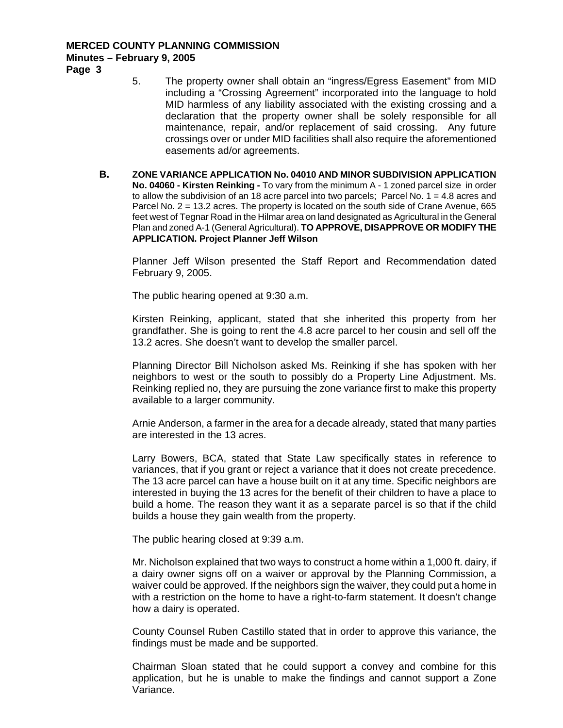# **MERCED COUNTY PLANNING COMMISSION Minutes – February 9, 2005**

**Page 3** 

- 5. The property owner shall obtain an "ingress/Egress Easement" from MID including a "Crossing Agreement" incorporated into the language to hold MID harmless of any liability associated with the existing crossing and a declaration that the property owner shall be solely responsible for all maintenance, repair, and/or replacement of said crossing. Any future crossings over or under MID facilities shall also require the aforementioned easements ad/or agreements.
- **B. ZONE VARIANCE APPLICATION No. 04010 AND MINOR SUBDIVISION APPLICATION No. 04060 - Kirsten Reinking -** To vary from the minimum A - 1 zoned parcel size in order to allow the subdivision of an 18 acre parcel into two parcels; Parcel No.  $1 = 4.8$  acres and Parcel No. 2 = 13.2 acres. The property is located on the south side of Crane Avenue, 665 feet west of Tegnar Road in the Hilmar area on land designated as Agricultural in the General Plan and zoned A-1 (General Agricultural). **TO APPROVE, DISAPPROVE OR MODIFY THE APPLICATION. Project Planner Jeff Wilson**

Planner Jeff Wilson presented the Staff Report and Recommendation dated February 9, 2005.

The public hearing opened at 9:30 a.m.

Kirsten Reinking, applicant, stated that she inherited this property from her grandfather. She is going to rent the 4.8 acre parcel to her cousin and sell off the 13.2 acres. She doesn't want to develop the smaller parcel.

Planning Director Bill Nicholson asked Ms. Reinking if she has spoken with her neighbors to west or the south to possibly do a Property Line Adjustment. Ms. Reinking replied no, they are pursuing the zone variance first to make this property available to a larger community.

Arnie Anderson, a farmer in the area for a decade already, stated that many parties are interested in the 13 acres.

Larry Bowers, BCA, stated that State Law specifically states in reference to variances, that if you grant or reject a variance that it does not create precedence. The 13 acre parcel can have a house built on it at any time. Specific neighbors are interested in buying the 13 acres for the benefit of their children to have a place to build a home. The reason they want it as a separate parcel is so that if the child builds a house they gain wealth from the property.

The public hearing closed at 9:39 a.m.

Mr. Nicholson explained that two ways to construct a home within a 1,000 ft. dairy, if a dairy owner signs off on a waiver or approval by the Planning Commission, a waiver could be approved. If the neighbors sign the waiver, they could put a home in with a restriction on the home to have a right-to-farm statement. It doesn't change how a dairy is operated.

County Counsel Ruben Castillo stated that in order to approve this variance, the findings must be made and be supported.

Chairman Sloan stated that he could support a convey and combine for this application, but he is unable to make the findings and cannot support a Zone Variance.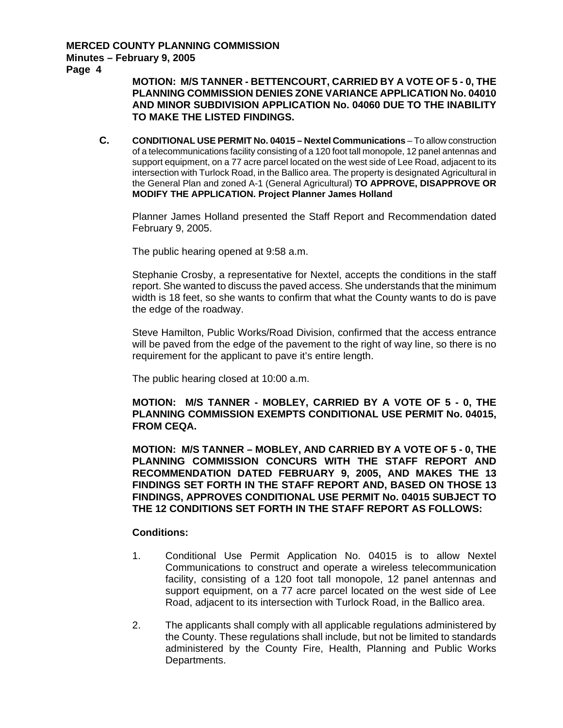**Page 4** 

## **MOTION: M/S TANNER - BETTENCOURT, CARRIED BY A VOTE OF 5 - 0, THE PLANNING COMMISSION DENIES ZONE VARIANCE APPLICATION No. 04010 AND MINOR SUBDIVISION APPLICATION No. 04060 DUE TO THE INABILITY TO MAKE THE LISTED FINDINGS.**

**C. CONDITIONAL USE PERMIT No. 04015 – Nextel Communications** – To allow construction of a telecommunications facility consisting of a 120 foot tall monopole, 12 panel antennas and support equipment, on a 77 acre parcel located on the west side of Lee Road, adjacent to its intersection with Turlock Road, in the Ballico area. The property is designated Agricultural in the General Plan and zoned A-1 (General Agricultural) **TO APPROVE, DISAPPROVE OR MODIFY THE APPLICATION. Project Planner James Holland**

Planner James Holland presented the Staff Report and Recommendation dated February 9, 2005.

The public hearing opened at 9:58 a.m.

Stephanie Crosby, a representative for Nextel, accepts the conditions in the staff report. She wanted to discuss the paved access. She understands that the minimum width is 18 feet, so she wants to confirm that what the County wants to do is pave the edge of the roadway.

Steve Hamilton, Public Works/Road Division, confirmed that the access entrance will be paved from the edge of the pavement to the right of way line, so there is no requirement for the applicant to pave it's entire length.

The public hearing closed at 10:00 a.m.

#### **MOTION: M/S TANNER - MOBLEY, CARRIED BY A VOTE OF 5 - 0, THE PLANNING COMMISSION EXEMPTS CONDITIONAL USE PERMIT No. 04015, FROM CEQA.**

**MOTION: M/S TANNER – MOBLEY, AND CARRIED BY A VOTE OF 5 - 0, THE PLANNING COMMISSION CONCURS WITH THE STAFF REPORT AND RECOMMENDATION DATED FEBRUARY 9, 2005, AND MAKES THE 13 FINDINGS SET FORTH IN THE STAFF REPORT AND, BASED ON THOSE 13 FINDINGS, APPROVES CONDITIONAL USE PERMIT No. 04015 SUBJECT TO THE 12 CONDITIONS SET FORTH IN THE STAFF REPORT AS FOLLOWS:** 

#### **Conditions:**

- 1. Conditional Use Permit Application No. 04015 is to allow Nextel Communications to construct and operate a wireless telecommunication facility, consisting of a 120 foot tall monopole, 12 panel antennas and support equipment, on a 77 acre parcel located on the west side of Lee Road, adjacent to its intersection with Turlock Road, in the Ballico area.
- 2. The applicants shall comply with all applicable regulations administered by the County. These regulations shall include, but not be limited to standards administered by the County Fire, Health, Planning and Public Works Departments.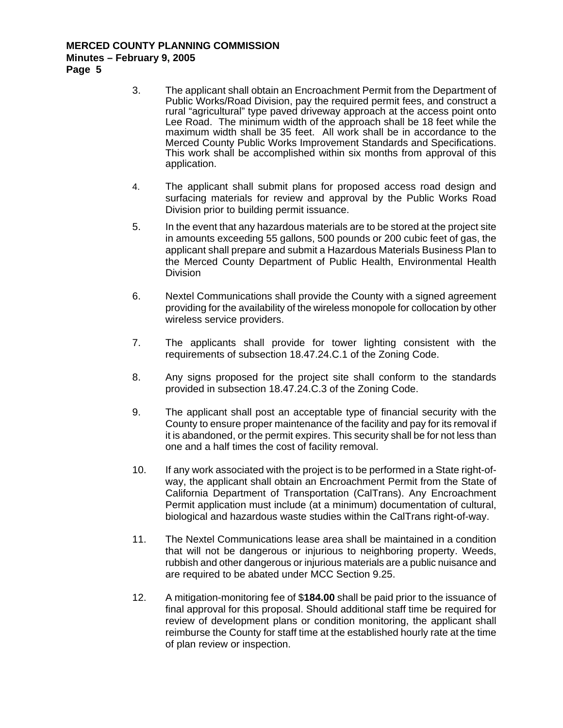#### **MERCED COUNTY PLANNING COMMISSION Minutes – February 9, 2005 Page 5**

- 3. The applicant shall obtain an Encroachment Permit from the Department of Public Works/Road Division, pay the required permit fees, and construct a rural "agricultural" type paved driveway approach at the access point onto Lee Road. The minimum width of the approach shall be 18 feet while the maximum width shall be 35 feet. All work shall be in accordance to the Merced County Public Works Improvement Standards and Specifications. This work shall be accomplished within six months from approval of this application.
- 4. The applicant shall submit plans for proposed access road design and surfacing materials for review and approval by the Public Works Road Division prior to building permit issuance.
- 5. In the event that any hazardous materials are to be stored at the project site in amounts exceeding 55 gallons, 500 pounds or 200 cubic feet of gas, the applicant shall prepare and submit a Hazardous Materials Business Plan to the Merced County Department of Public Health, Environmental Health Division
- 6. Nextel Communications shall provide the County with a signed agreement providing for the availability of the wireless monopole for collocation by other wireless service providers.
- 7. The applicants shall provide for tower lighting consistent with the requirements of subsection 18.47.24.C.1 of the Zoning Code.
- 8. Any signs proposed for the project site shall conform to the standards provided in subsection 18.47.24.C.3 of the Zoning Code.
- 9. The applicant shall post an acceptable type of financial security with the County to ensure proper maintenance of the facility and pay for its removal if it is abandoned, or the permit expires. This security shall be for not less than one and a half times the cost of facility removal.
- 10. If any work associated with the project is to be performed in a State right-ofway, the applicant shall obtain an Encroachment Permit from the State of California Department of Transportation (CalTrans). Any Encroachment Permit application must include (at a minimum) documentation of cultural, biological and hazardous waste studies within the CalTrans right-of-way.
- 11. The Nextel Communications lease area shall be maintained in a condition that will not be dangerous or injurious to neighboring property. Weeds, rubbish and other dangerous or injurious materials are a public nuisance and are required to be abated under MCC Section 9.25.
- 12. A mitigation-monitoring fee of \$**184.00** shall be paid prior to the issuance of final approval for this proposal. Should additional staff time be required for review of development plans or condition monitoring, the applicant shall reimburse the County for staff time at the established hourly rate at the time of plan review or inspection.